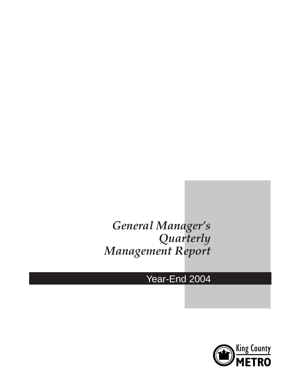# *General Manager's Quarterly Management Report*

# Year-End 2004

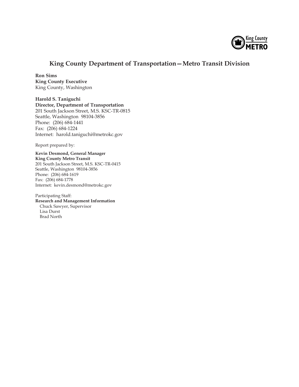

### **King County Department of Transportation—Metro Transit Division**

**Ron Sims King County Executive** King County, Washington

**Harold S. Taniguchi Director, Department of Transportation** 201 South Jackson Street, M.S. KSC-TR-0815 Seattle, Washington 98104-3856 Phone: (206) 684-1441 Fax: (206) 684-1224 Internet: harold.taniguchi@metrokc.gov

Report prepared by:

**Kevin Desmond, General Manager King County Metro Transit** 201 South Jackson Street, M.S. KSC-TR-0415 Seattle, Washington 98104-3856 Phone: (206) 684-1619 Fax: (206) 684-1778 Internet: kevin.desmond@metrokc.gov

Participating Staff: **Research and Management Information** Chuck Sawyer, Supervisor Lisa Durst Brad North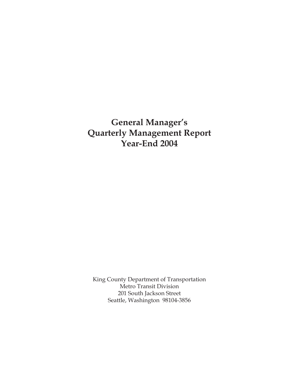# **General Manager's Quarterly Management Report Year-End 2004**

King County Department of Transportation Metro Transit Division 201 South Jackson Street Seattle, Washington 98104-3856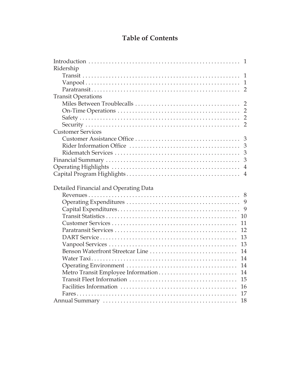### **Table of Contents**

| $\overline{1}$                           |
|------------------------------------------|
| Ridership                                |
| $\overline{1}$                           |
|                                          |
|                                          |
| <b>Transit Operations</b>                |
|                                          |
|                                          |
|                                          |
| $\overline{2}$                           |
| <b>Customer Services</b>                 |
| $\overline{3}$                           |
| 3                                        |
| 3                                        |
|                                          |
| $\overline{4}$                           |
| $\overline{4}$                           |
|                                          |
| Detailed Financial and Operating Data    |
|                                          |
|                                          |
| 9                                        |
|                                          |
| 10                                       |
| 11                                       |
| 12                                       |
| 13                                       |
| 13                                       |
| Benson Waterfront Streetcar Line<br>14   |
| 14                                       |
| 14                                       |
| 14                                       |
| Metro Transit Employee Information<br>15 |
| 16                                       |
| 17                                       |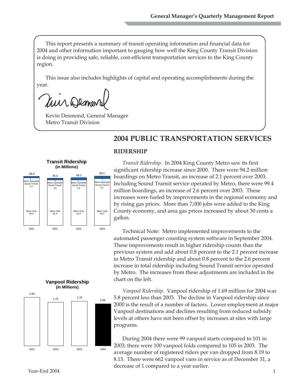This report presents a summary of transit operating information and financial data for 2004 and other information important to gauging how well the King County Transit Division is doing in providing safe, reliable, cost-efficient transportation services to the King County region.

This issue also includes highlights of capital and operating accomplishments during the year.

Mir Demov

Kevin Desmond, General Manager Metro Transit Division

## **2004 PUBLIC TRANSPORTATION SERVICES**

#### 98.9 99.4 95.3 96.2 99.4 **Transit Ridership (in Millions)** Metro-Operated nd Transi 3.3 Metro-Operated Sound Transit  $\frac{3}{2}$ . Metro-Operated Sound Transit 4.6 o-Opera ound Trans 5.2 Metro Only 95.6 Metro Only  $91.5$ Metro Only 91.6 Metro Only 94.2

2001 2002 2003 2004

#### **RIDERSHIP**

*Transit Ridership.* In 2004 King County Metro saw its first significant ridership increase since 2000. There were 94.2 million boardings on Metro Transit, an increase of 2.1 percent over 2003. Including Sound Transit service operated by Metro, there were 99.4 million boardings, an increase of 2.6 percent over 2003. These increases were fueled by improvements in the regional economy and by rising gas prices. More than 7,000 jobs were added to the King County economy, and area gas prices increased by about 30 cents a gallon.

Technical Note: Metro implemented improvements to the automated passenger counting system software in September 2004. These improvements result in higher ridership counts than the previous system and add about 0.8 percent to the 2.1 percent increase in Metro Transit ridership and about 0.8 percent to the 2.6 percent increase in total ridership including Sound Transit service operated by Metro. The increases from these adjustments are included in the chart on the left.

*Vanpool Ridership.* Vanpool ridership of 1.69 million for 2004 was 5.8 percent less than 2003. The decline in Vanpool ridership since 2000 is the result of a number of factors. Lower employment at major Vanpool destinations and declines resulting from reduced subsidy levels at others have not been offset by increases at sites with large programs.

During 2004 there were 99 vanpool starts compared to 101 in 2003; there were 100 vanpool folds compared to 105 in 2003. The average number of registered riders per van dropped from 8.19 to 8.13. There were 662 vanpool vans in service as of December 31, a decrease of 1 compared to a year earlier.



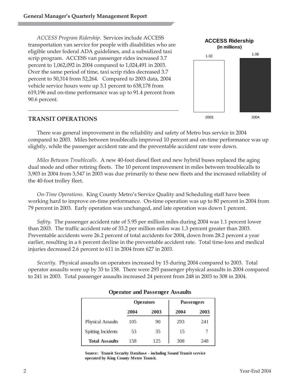*ACCESS Program Ridership.* Services include ACCESS transportation van service for people with disabilities who are eligible under federal ADA guidelines, and a subsidized taxi scrip program. ACCESS van passenger rides increased 3.7 percent to 1,062,092 in 2004 compared to 1,024,491 in 2003. Over the same period of time, taxi scrip rides decreased 3.7 percent to 50,314 from 52,264. Compared to 2003 data, 2004 vehicle service hours were up 3.1 percent to 638,178 from 619,196 and on-time performance was up to 91.4 percent from 90.6 percent.



#### **TRANSIT OPERATIONS**

There was general improvement in the reliability and safety of Metro bus service in 2004 compared to 2003. Miles between troublecalls improved 10 percent and on-time performance was up slightly, while the passenger accident rate and the preventable accident rate were down.

*Miles Between Troublecalls.* A new 40-foot diesel fleet and new hybrid buses replaced the aging dual mode and other retiring fleets. The 10 percent improvement in miles between troublecalls to 3,903 in 2004 from 3,547 in 2003 was due primarily to these new fleets and the increased reliability of the 40-foot trolley fleet.

*On-Time Operations.* King County Metro's Service Quality and Scheduling staff have been working hard to improve on-time performance. On-time operation was up to 80 percent in 2004 from 79 percent in 2003. Early operation was unchanged, and late operation was down 1 percent.

*Safety.* The passenger accident rate of 5.95 per million miles during 2004 was 1.1 percent lower than 2003. The traffic accident rate of 33.2 per million miles was 1.3 percent greater than 2003. Preventable accidents were 26.2 percent of total accidents for 2004, down from 28.2 percent a year earlier, resulting in a 6 percent decline in the preventable accident rate. Total time-loss and medical injuries decreased 2.6 percent to 611 in 2004 from 627 in 2003.

*Security.* Physical assaults on operators increased by 15 during 2004 compared to 2003. Total operator assaults were up by 33 to 158. There were 293 passenger physical assaults in 2004 compared to 241 in 2003. Total passenger assaults increased 24 percent from 248 in 2003 to 308 in 2004.

|                           |      | <b>Operators</b> |      | <b>Passengers</b> |
|---------------------------|------|------------------|------|-------------------|
|                           | 2004 | 2003             | 2004 | 2003              |
| <b>Physical Assaults</b>  | 105  | 90               | 293  | 241               |
| <b>Spitting Incidents</b> | 53   | 35               | 15   |                   |
| <b>Total Assaults</b>     | 158  | 125              | 308  | 248               |

#### **Operator and Passenger Assaults**

**Source: Transit Security Database - including Sound Transit service operated by King County Metro Transit.**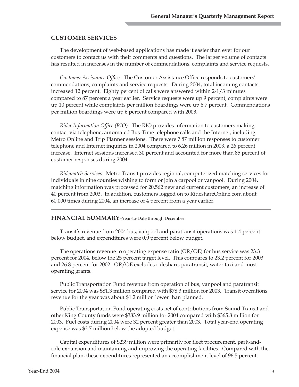#### **CUSTOMER SERVICES**

The development of web-based applications has made it easier than ever for our customers to contact us with their comments and questions. The larger volume of contacts has resulted in increases in the number of commendations, complaints and service requests.

*Customer Assistance Office.* The Customer Assistance Office responds to customers' commendations, complaints and service requests. During 2004, total incoming contacts increased 12 percent. Eighty percent of calls were answered within 2-1/3 minutes compared to 87 percent a year earlier. Service requests were up 9 percent; complaints were up 10 percent while complaints per million boardings were up 6.7 percent. Commendations per million boardings were up 6 percent compared with 2003.

*Rider Information Office (RIO).* The RIO provides information to customers making contact via telephone, automated Bus-Time telephone calls and the Internet, including Metro Online and Trip Planner sessions. There were 7.87 million responses to customer telephone and Internet inquiries in 2004 compared to 6.26 million in 2003, a 26 percent increase. Internet sessions increased 30 percent and accounted for more than 85 percent of customer responses during 2004.

*Ridematch Services.* Metro Transit provides regional, computerized matching services for individuals in nine counties wishing to form or join a carpool or vanpool. During 2004, matching information was processed for 20,562 new and current customers, an increase of 40 percent from 2003. In addition, customers logged on to RideshareOnline.com about 60,000 times during 2004, an increase of 4 percent from a year earlier.

#### **FINANCIAL SUMMARY**–Year-to-Date through December

Transit's revenue from 2004 bus, vanpool and paratransit operations was 1.4 percent below budget, and expenditures were 0.9 percent below budget.

The operations revenue to operating expense ratio (OR/OE) for bus service was 23.3 percent for 2004, below the 25 percent target level. This compares to 23.2 percent for 2003 and 26.8 percent for 2002. OR/OE excludes rideshare, paratransit, water taxi and most operating grants.

Public Transportation Fund revenue from operation of bus, vanpool and paratransit service for 2004 was \$81.3 million compared with \$78.3 million for 2003. Transit operations revenue for the year was about \$1.2 million lower than planned.

Public Transportation Fund operating costs net of contributions from Sound Transit and other King County funds were \$383.9 million for 2004 compared with \$365.8 million for 2003. Fuel costs during 2004 were 32 percent greater than 2003. Total year-end operating expense was \$3.7 million below the adopted budget.

Capital expenditures of \$239 million were primarily for fleet procurement, park-andride expansion and maintaining and improving the operating facilities. Compared with the financial plan, these expenditures represented an accomplishment level of 96.5 percent.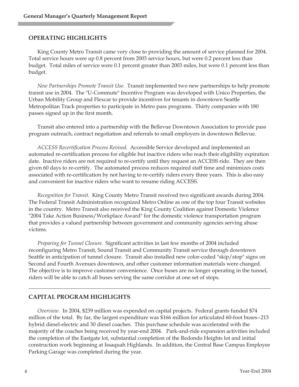#### **OPERATING HIGHLIGHTS**

King County Metro Transit came very close to providing the amount of service planned for 2004. Total service hours were up 0.8 percent from 2003 service hours, but were 0.2 percent less than budget. Total miles of service were 0.1 percent greater than 2003 miles, but were 0.1 percent less than budget.

*New Partnerships Promote Transit Use.* Transit implemented two new partnerships to help promote transit use in 2004. The "U-Commute" Incentive Program was developed with Unico Properties, the Urban Mobility Group and Flexcar to provide incentives for tenants in downtown Seattle Metropolitan Track properties to participate in Metro pass programs. Thirty companies with 180 passes signed up in the first month.

Transit also entered into a partnership with the Bellevue Downtown Association to provide pass program outreach, contract negotiation and referrals to small employers in downtown Bellevue.

*ACCESS Recertification Process Revised.* Accessible Service developed and implemented an automated re-certification process for eligible but inactive riders who reach their eligibility expiration date. Inactive riders are not required to re-certify until they request an ACCESS ride. They are then given 60 days to re-certify. The automated process reduces required staff time and minimizes costs associated with re-certification by not having to re-certify riders every three years. This is also easy and convenient for inactive riders who want to resume riding ACCESS.

*Recognition for Transit.* King County Metro Transit received two significant awards during 2004. The Federal Transit Administration recognized Metro Online as one of the top four Transit websites in the country. Metro Transit also received the King County Coalition against Domestic Violence "2004 Take Action Business/Workplace Award" for the domestic violence transportation program that provides a valued partnership between government and community agencies serving abuse victims.

*Preparing for Tunnel Closure.* Significant activities in last few months of 2004 included reconfiguring Metro Transit, Sound Transit and Community Transit service through downtown Seattle in anticipation of tunnel closure. Transit also installed new color-coded "skip/stop" signs on Second and Fourth Avenues downtown, and other customer information materials were changed. The objective is to improve customer convenience. Once buses are no longer operating in the tunnel, riders will be able to catch all buses serving the same corridor at one set of stops.

#### **CAPITAL PROGRAM HIGHLIGHTS**

*Overview.* In 2004, \$239 million was expended on capital projects. Federal grants funded \$74 million of the total. By far, the largest expenditure was \$166 million for articulated 60-foot buses--213 hybrid diesel-electric and 30 diesel coaches. This purchase schedule was accelerated with the majority of the coaches being received by year-end 2004. Park-and-ride expansion activities included the completion of the Eastgate lot, substantial completion of the Redondo Heights lot and initial construction work beginning at Issaquah Highlands. In addition, the Central Base Campus Employee Parking Garage was completed during the year.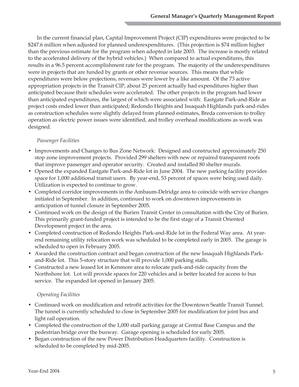In the current financial plan, Capital Improvement Project (CIP) expenditures were projected to be \$247.6 million when adjusted for planned underexpenditures. (This projection is \$74 million higher than the previous estimate for the program when adopted in late 2003. The increase is mostly related to the accelerated delivery of the hybrid vehicles.) When compared to actual expenditures, this results in a 96.5 percent accomplishment rate for the program. The majority of the underexpenditures were in projects that are funded by grants or other revenue sources. This means that while expenditures were below projections, revenues were lower by a like amount. Of the 73 active appropriation projects in the Transit CIP, about 25 percent actually had expenditures higher than anticipated because their schedules were accelerated. The other projects in the program had lower than anticipated expenditures, the largest of which were associated with: Eastgate Park-and-Ride as project costs ended lower than anticipated; Redondo Heights and Issaquah Highlands park-and-rides as construction schedules were slightly delayed from planned estimates, Breda conversion to trolley operation as electric power issues were identified, and trolley overhead modifications as work was designed.

#### *Passenger Facilities*

- Improvements and Changes to Bus Zone Network: Designed and constructed approximately 250 stop zone improvement projects. Provided 299 shelters with new or repaired transparent roofs that improve passenger and operator security. Created and installed 80 shelter murals.
- Opened the expanded Eastgate Park-and-Ride lot in June 2004. The new parking facility provides space for 1,000 additional transit users. By year-end, 53 percent of spaces were being used daily. Utilization is expected to continue to grow.
- Completed corridor improvements in the Ambaum-Delridge area to coincide with service changes initiated in September. In addition, continued to work on downtown improvements in anticipation of tunnel closure in September 2005.
- Continued work on the design of the Burien Transit Center in consultation with the City of Burien. This primarily grant-funded project is intended to be the first stage of a Transit Oriented Development project in the area.
- Completed construction of Redondo Heights Park-and-Ride lot in the Federal Way area. At yearend remaining utility relocation work was scheduled to be completed early in 2005. The garage is scheduled to open in February 2005.
- Awarded the construction contract and began construction of the new Issaquah Highlands Parkand-Ride lot. This 5-story structure that will provide 1,000 parking stalls.
- Constructed a new leased lot in Kenmore area to relocate park-and-ride capacity from the Northshore lot. Lot will provide spaces for 220 vehicles and is better located for access to bus service. The expanded lot opened in January 2005.

#### *Operating Facilities*

- Continued work on modification and retrofit activities for the Downtown Seattle Transit Tunnel. The tunnel is currently scheduled to close in September 2005 for modification for joint bus and light rail operation.
- Completed the construction of the 1,000 stall parking garage at Central Base Campus and the pedestrian bridge over the busway. Garage opening is scheduled for early 2005.
- Began construction of the new Power Distribution Headquarters facility. Construction is scheduled to be completed by mid-2005.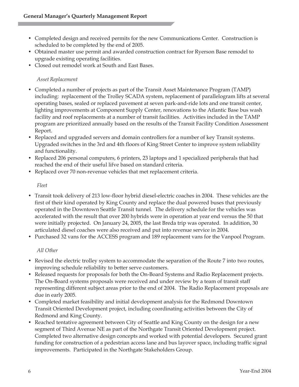- Completed design and received permits for the new Communications Center. Construction is scheduled to be completed by the end of 2005.
- Obtained master use permit and awarded construction contract for Ryerson Base remodel to upgrade existing operating facilities.
- Closed out remodel work at South and East Bases.

#### *Asset Replacement*

- Completed a number of projects as part of the Transit Asset Maintenance Program (TAMP) including: replacement of the Trolley SCADA system, replacement of parallelogram lifts at several operating bases, sealed or replaced pavement at seven park-and-ride lots and one transit center, lighting improvements at Component Supply Center, renovations to the Atlantic Base bus wash facility and roof replacements at a number of transit facilities. Activities included in the TAMP program are prioritized annually based on the results of the Transit Facility Condition Assessment Report.
- Replaced and upgraded servers and domain controllers for a number of key Transit systems. Upgraded switches in the 3rd and 4th floors of King Street Center to improve system reliability and functionality.
- Replaced 206 personal computers, 6 printers, 23 laptops and 1 specialized peripherals that had reached the end of their useful lifve based on standard criteria.
- Replaced over 70 non-revenue vehicles that met replacement criteria.

#### *Fleet*

- Transit took delivery of 213 low-floor hybrid diesel-electric coaches in 2004. These vehicles are the first of their kind operated by King County and replace the dual powered buses that previously operated in the Downtown Seattle Transit tunnel. The delivery schedule for the vehicles was accelerated with the result that over 200 hybrids were in operation at year end versus the 50 that were initially projected. On January 24, 2005, the last Breda trip was operated. In addition, 30 articulated diesel coaches were also received and put into revenue service in 2004.
- Purchased 32 vans for the ACCESS program and 189 replacement vans for the Vanpool Program.

#### *All Other*

- Revised the electric trolley system to accommodate the separation of the Route 7 into two routes, improving schedule reliability to better serve customers.
- Released requests for proposals for both the On-Board Systems and Radio Replacement projects. The On-Board systems proposals were received and under review by a team of transit staff representing different subject areas prior to the end of 2004. The Radio Replacement proposals are due in early 2005.
- Completed market feasibility and initial development analysis for the Redmond Downtown Transit Oriented Development project, including coordinating activities between the City of Redmond and King County.
- Reached tentative agreement between City of Seattle and King County on the design for a new segment of Third Avenue NE as part of the Northgate Transit Oriented Development project. Completed two alternative design concepts and worked with potential developers. Secured grant funding for construction of a pedestrian access lane and bus layover space, including traffic signal improvements. Participated in the Northgate Stakeholders Group.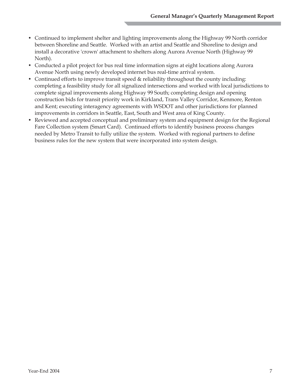- Continued to implement shelter and lighting improvements along the Highway 99 North corridor between Shoreline and Seattle. Worked with an artist and Seattle and Shoreline to design and install a decorative 'crown' attachment to shelters along Aurora Avenue North (Highway 99 North).
- Conducted a pilot project for bus real time information signs at eight locations along Aurora Avenue North using newly developed internet bus real-time arrival system.
- Continued efforts to improve transit speed & reliability throughout the county including: completing a feasibility study for all signalized intersections and worked with local jurisdictions to complete signal improvements along Highway 99 South; completing design and opening construction bids for transit priority work in Kirkland, Trans Valley Corridor, Kenmore, Renton and Kent; executing interagency agreements with WSDOT and other jurisdictions for planned improvements in corridors in Seattle, East, South and West area of King County.
- Reviewed and accepted conceptual and preliminary system and equipment design for the Regional Fare Collection system (Smart Card). Continued efforts to identify business process changes needed by Metro Transit to fully utilize the system. Worked with regional partners to define business rules for the new system that were incorporated into system design.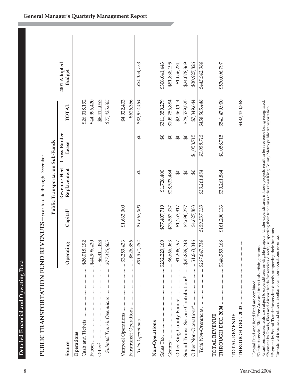| l.                                            |  |
|-----------------------------------------------|--|
| ו<br>וי<br>ì<br>ׇ֚֚֬֕<br>ĺ<br>ĺ<br>֚֕֠֠֠֡֡֡֡֡ |  |
| l<br>I<br>j<br>l<br>ī                         |  |
| こうしょう うくら                                     |  |
| ı<br>ļ                                        |  |
| í                                             |  |

| PUBLIC TRANSPORTATION FUND REVENUES – year-to-date through December |                        |                      | Public Transportation Sub-Funds |                         |               |                               |  |
|---------------------------------------------------------------------|------------------------|----------------------|---------------------------------|-------------------------|---------------|-------------------------------|--|
| Source                                                              | Operating              | Capital <sup>1</sup> | Revenue Fleet<br>Replacement    | Cross Border<br>Lease   | <b>TOTAL</b>  | 2004 Adopted<br><b>Budget</b> |  |
| Operations                                                          |                        |                      |                                 |                         |               |                               |  |
|                                                                     | \$26,018,192           |                      |                                 |                         | \$26,018,192  |                               |  |
|                                                                     | \$44,996,420           |                      |                                 |                         | \$44,996,420  |                               |  |
| $\frac{66.411.053}{200.053}$<br>Other <sup>2</sup>                  |                        |                      |                                 |                         | \$6,411,053   |                               |  |
| Subtotal Transit Operations  \$77,425,665                           |                        |                      |                                 |                         | \$77,425,665  |                               |  |
|                                                                     |                        | \$1,663,000          |                                 |                         | \$4,922,433   |                               |  |
|                                                                     |                        |                      |                                 |                         | \$626,356     |                               |  |
|                                                                     |                        | \$1,663,000          | $\mathfrak{G}$                  | $\partial \mathfrak{F}$ | \$82,974,454  | \$84,154,733                  |  |
| Non-Operations                                                      |                        |                      |                                 |                         |               |                               |  |
| Sales Tax                                                           | $\ldots$ \$232,223,160 | \$77,407,719         | \$1,728,400                     | $\theta$                | \$311,359,279 | \$308,041,443                 |  |
|                                                                     |                        | \$73,557,337         | \$28,533,484                    | $\mathfrak{g}_0$        | \$108,756,884 | \$81,838,195                  |  |
|                                                                     |                        | \$1,253,917          | $\mathfrak{B}$                  | $\mathfrak{S}0$         | \$2,460,114   | \$1,056,231                   |  |
| Sound Transit Service Contributions <sup>5</sup> \$25,889,248       |                        | \$2,690,277          | $\theta$                        | $\mathfrak{g}_0$        | \$28,579,525  | \$24,078,369                  |  |
| Other Non-Operations <sup>6</sup>                                   | $$ \$1,663,046         | \$4,627,883          | $\vartheta$                     | \$1,058,715             | \$7,349,644   | \$30,927,826                  |  |
|                                                                     |                        | \$159,537,133        | \$30,261,884                    | \$1,058,715             | \$458,505,446 | \$445,942,064                 |  |
| TOTAL REVENUE                                                       |                        |                      |                                 |                         |               |                               |  |
| THROUGH DEC. 2004  \$348,959,168                                    |                        | \$161,200,133        | \$30,261,884                    | \$1,058,715             | \$541,479,900 | \$530,096,797                 |  |
| <b>TOTAL REVENUE</b>                                                |                        |                      |                                 |                         | \$482,430,368 |                               |  |
| <sup>1</sup> Capital Fund and Bond Fund are combined.               |                        |                      |                                 |                         |               |                               |  |

1Capital Fund and Bond Fund are combined.

2Contract service, Ride Free Area and transit advertising income.

<sup>2</sup>Contract service, Ride Free Area and transit advertising income.<br><sup>3</sup>Contract service, Ride Free Area and transit advertising income.<br><sup>3</sup>Crant reimbursements are subject to expenditures on eligible projects. Under expend °Grant reimbursements are subject to expenditures on eligible projects. Under expenditures in these projects result in less revenue being recognized.<br>'Payment by Roads, Fleet and Airport funds for services directly support

6Investment income and other miscellaneous, non-operations revenue.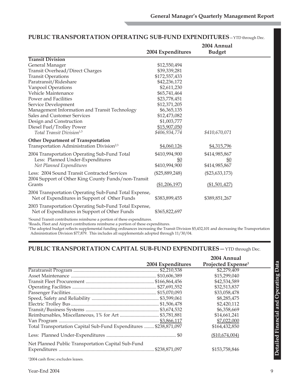|                                                                                                                                                                                                                                | 2004 Expenditures | 2004 Annual<br><b>Budget</b> |  |
|--------------------------------------------------------------------------------------------------------------------------------------------------------------------------------------------------------------------------------|-------------------|------------------------------|--|
| <b>Transit Division</b>                                                                                                                                                                                                        |                   |                              |  |
| General Manager                                                                                                                                                                                                                | \$12,550,494      |                              |  |
| <b>Transit Overhead/Direct Charges</b>                                                                                                                                                                                         | \$39,339,281      |                              |  |
| <b>Transit Operations</b>                                                                                                                                                                                                      | \$172,557,433     |                              |  |
| Paratransit/Rideshare                                                                                                                                                                                                          | \$42,236,172      |                              |  |
| Vanpool Operations                                                                                                                                                                                                             | \$2,611,230       |                              |  |
| Vehicle Maintenance                                                                                                                                                                                                            | \$65,741,464      |                              |  |
| Power and Facilities                                                                                                                                                                                                           | \$23,778,451      |                              |  |
| Service Development                                                                                                                                                                                                            | \$12,371,205      |                              |  |
| Management Information and Transit Technology                                                                                                                                                                                  | \$6,365,135       |                              |  |
| Sales and Customer Services                                                                                                                                                                                                    | \$12,473,082      |                              |  |
| Design and Construction                                                                                                                                                                                                        | \$1,003,777       |                              |  |
| Diesel Fuel/Trolley Power                                                                                                                                                                                                      | \$15,907,050      |                              |  |
| Total Transit Division <sup>1,3</sup>                                                                                                                                                                                          | \$406,934,774     | \$410,670,071                |  |
| <b>Other Department of Transportation</b>                                                                                                                                                                                      |                   |                              |  |
| Transportation Administration Division <sup>2,3</sup>                                                                                                                                                                          | \$4,060,126       | \$4,315,796                  |  |
| 2004 Transportation Operating Sub-Fund Total                                                                                                                                                                                   | \$410,994,900     | \$414,985,867                |  |
| Less: Planned Under-Expenditures                                                                                                                                                                                               | <u>\$0</u>        | <u>\$0</u>                   |  |
| Net Planned Expenditures                                                                                                                                                                                                       | \$410,994,900     | \$414,985,867                |  |
| Less: 2004 Sound Transit Contracted Services<br>2004 Support of Other King County Funds/non-Transit                                                                                                                            | $(\$25,889,248)$  | $(\$23,633,173)$             |  |
| Grants                                                                                                                                                                                                                         | ( \$1,206,197)    | (\$1,501,427)                |  |
| 2004 Transportation Operating Sub-Fund Total Expense,<br>Net of Expenditures in Support of Other Funds                                                                                                                         | \$383,899,455     | \$389,851,267                |  |
| 2003 Transportation Operating Sub-Fund Total Expense,<br>Net of Expenditures in Support of Other Funds                                                                                                                         | \$365,822,697     |                              |  |
| and the second control of the control of the control of the control of the control of the control of the control of the control of the control of the control of the control of the control of the control of the control of t |                   |                              |  |

#### **PUBLIC TRANSPORTATION OPERATING SUB-FUND EXPENDITURES**—YTD through Dec.

1 Sound Transit contributions reimburse a portion of these expenditures.

2 Roads, Fleet and Airport contributions reimburse a portion of these expenditures.

3 The adopted budget reflects supplemental funding ordinances increasing the Transit Division \$5,432,101 and decreasing the Transportation Administration Division \$77,879. This includes all supplementals adopted through 11/30/04.

#### **PUBLIC TRANSPORTATION CAPITAL SUB-FUND EXPENDITURES**—YTD through Dec.

|                                                                   |                   | 2004 Annual                    |  |
|-------------------------------------------------------------------|-------------------|--------------------------------|--|
|                                                                   | 2004 Expenditures | Projected Expense <sup>1</sup> |  |
|                                                                   |                   | \$2,279,409                    |  |
|                                                                   |                   | \$15,299,040                   |  |
|                                                                   |                   | \$42,534,589                   |  |
|                                                                   |                   | \$32,513,837                   |  |
|                                                                   |                   | \$33,058,478                   |  |
|                                                                   |                   | \$8,285,475                    |  |
|                                                                   |                   | \$2,420,112                    |  |
|                                                                   |                   | \$6,358,669                    |  |
|                                                                   |                   | \$14,661,241                   |  |
|                                                                   |                   | \$7,022,000                    |  |
| Total Transportation Capital Sub-Fund Expenditures  \$238,871,097 |                   | \$164,432,850                  |  |
|                                                                   |                   | (\$10,674,004)                 |  |
| Net Planned Public Transportation Capital Sub-Fund                |                   | \$153,758,846                  |  |

1 2004 cash flow; excludes leases.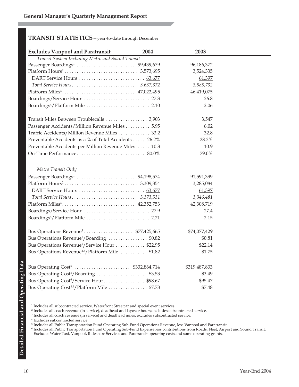### **TRANSIT STATISTICS**—year-to-date through December

| <b>Excludes Vanpool and Paratransit</b>                      | 2004 | 2003          |  |
|--------------------------------------------------------------|------|---------------|--|
| Transit System Including Metro and Sound Transit             |      |               |  |
|                                                              |      | 96,186,372    |  |
|                                                              |      | 3,524,335     |  |
|                                                              |      | 61,397        |  |
|                                                              |      | 3,585,732     |  |
|                                                              |      | 46,419,075    |  |
| Boardings/Service Hour  27.3                                 |      | 26.8          |  |
|                                                              |      | 2.06          |  |
|                                                              |      | 3,547         |  |
| Passenger Accidents/Million Revenue Miles 5.95               |      | 6.02          |  |
| Traffic Accidents/Million Revenue Miles  33.2                |      | 32.8          |  |
| Preventable Accidents as a % of Total Accidents  26.2%       |      | 28.2%         |  |
| Preventable Accidents per Million Revenue Miles  10.3        |      | 10.9          |  |
|                                                              |      | 79.0%         |  |
| Metro Transit Only                                           |      |               |  |
|                                                              |      | 91,591,399    |  |
|                                                              |      | 3,285,084     |  |
|                                                              |      | 61,397        |  |
|                                                              |      | 3,346,481     |  |
|                                                              |      | 42,308,719    |  |
| Boardings/Service Hour  27.9                                 |      | 27.4          |  |
|                                                              |      | 2.15          |  |
|                                                              |      | \$74,077,429  |  |
| Bus Operations Revenue <sup>5</sup> /Boarding \$0.82         |      | \$0.81        |  |
| Bus Operations Revenue <sup>5</sup> /Service Hour \$22.95    |      | \$22.14       |  |
| Bus Operations Revenue <sup>4,5</sup> /Platform Mile  \$1.82 |      | \$1.75        |  |
|                                                              |      | \$319,487,833 |  |
| Bus Operating Cost <sup>6</sup> /Boarding  \$3.53            |      | \$3.49        |  |
| Bus Operating Cost <sup>6</sup> /Service Hour\$98.67         |      | \$95.47       |  |
| Bus Operating Cost <sup>4,6</sup> /Platform Mile  \$7.78     |      | \$7.48        |  |

 $^{\rm 1}$  Includes all subcontracted service, Waterfront Streetcar and special event services.

<sup>2</sup> Includes all coach revenue (in service), deadhead and layover hours; excludes subcontracted service.

<sup>3</sup> Includes all coach revenue (in service) and deadhead miles; excludes subcontracted service.

<sup>4</sup> Excludes subcontracted service.

<sup>5</sup> Includes all Public Transportation Fund Operating Sub-Fund Operations Revenue, less Vanpool and Paratransit.

<sup>6</sup> Includes all Public Transportation Fund Operating Sub-Fund Expense less contributions from Roads, Fleet, Airport and Sound Transit. Excludes Water Taxi, Vanpool, Rideshare Services and Paratransit operating costs and some operating grants.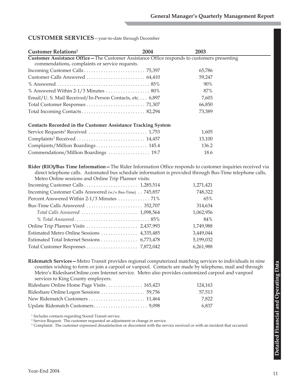#### **CUSTOMER SERVICES**—year-to-date through December

| Customer Relations <sup>1</sup>                                                                     | 2004 | 2003   |  |
|-----------------------------------------------------------------------------------------------------|------|--------|--|
| <b>Customer Assistance Office - The Customer Assistance Office responds to customers presenting</b> |      |        |  |
| commendations, complaints or service requests.                                                      |      |        |  |
|                                                                                                     |      | 65,786 |  |
|                                                                                                     |      | 59,247 |  |
|                                                                                                     |      | 90%    |  |
| % Answered Within 2-1/3 Minutes  80%                                                                |      | 87%    |  |
| Email/U. S. Mail Received/In-Person Contacts, etc 6,897                                             |      | 7,603  |  |
|                                                                                                     |      | 66,850 |  |
|                                                                                                     |      | 73,389 |  |
| <b>Contacts Recorded in the Customer Assistance Tracking System</b>                                 |      |        |  |
|                                                                                                     |      | 1,605  |  |
|                                                                                                     |      | 13,100 |  |
| Complaints/Million Boardings 145.4                                                                  |      | 136.2  |  |
| Commendations/Million Boardings  19.7                                                               |      | 18.6   |  |

**Rider (RIO)/Bus Time Information—**The Rider Information Office responds to customer inquiries received via direct telephone calls. Automated bus schedule information is provided through Bus-Time telephone calls, Metro Online sessions and Online Trip Planner visits.

|                                                         | 1,271,421 |
|---------------------------------------------------------|-----------|
| Incoming Customer Calls Answered (w/o Bus-Time) 745,857 | 748,322   |
| Percent Answered Within 2-1/3 Minutes  71%              | 65%       |
|                                                         | 314,634   |
| Total Calls Answered  1,098,564                         | 1,062,956 |
|                                                         | 84%       |
|                                                         | 1,749,988 |
| Estimated Metro Online Sessions  4,335,485              | 3,449,044 |
|                                                         | 5,199,032 |
|                                                         | 6,261,988 |

**Ridematch Services—**Metro Transit provides regional computerized matching services to individuals in nine counties wishing to form or join a carpool or vanpool. Contacts are made by telephone, mail and through Metro's RideshareOnline.com Internet service. Metro also provides customized carpool and vanpool services to King County employers.

| Rideshare Online Home Page Visits 165,423 | 124.163 |
|-------------------------------------------|---------|
|                                           | 57.513  |
|                                           | 7.822   |
|                                           | 6.837   |

<sup>1</sup> Includes contacts regarding Sound Transit service.

<sup>2</sup> Service Request: The customer requested an adjustment or change in service.

<sup>3</sup> Complaint: The customer expressed dissatisfaction or discontent with the service received or with an incident that occurred.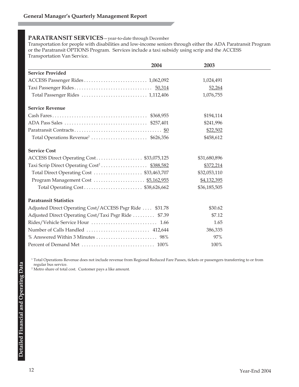#### **PARATRANSIT SERVICES**—year-to-date through December

Transportation for people with disabilities and low-income seniors through either the ADA Paratransit Program or the Paratransit OPTIONS Program. Services include a taxi subsidy using scrip and the ACCESS Transportation Van Service.

|                                                          | 2004 | 2003         |  |
|----------------------------------------------------------|------|--------------|--|
| <b>Service Provided</b>                                  |      |              |  |
|                                                          |      | 1,024,491    |  |
|                                                          |      | 52,264       |  |
|                                                          |      | 1,076,755    |  |
| <b>Service Revenue</b>                                   |      |              |  |
|                                                          |      | \$194,114    |  |
|                                                          |      | \$241,996    |  |
|                                                          |      | \$22,502     |  |
|                                                          |      | \$458,612    |  |
| <b>Service Cost</b>                                      |      |              |  |
| ACCESS Direct Operating Cost\$33,075,125                 |      | \$31,680,896 |  |
| Taxi Scrip Direct Operating Cost <sup>2</sup> \$388,582  |      | \$372,214    |  |
| Total Direct Operating Cost  \$33,463,707                |      | \$32,053,110 |  |
|                                                          |      | \$4,132,395  |  |
| Total Operating Cost \$38,626,662                        |      | \$36,185,505 |  |
| <b>Paratransit Statistics</b>                            |      |              |  |
| Adjusted Direct Operating Cost/ACCESS Psgr Ride  \$31.78 |      | \$30.62      |  |
| Adjusted Direct Operating Cost/Taxi Psgr Ride  \$7.39    |      | \$7.12       |  |
|                                                          |      | 1.65         |  |
|                                                          |      | 386,335      |  |
|                                                          |      | 97%          |  |
|                                                          |      | 100%         |  |

<sup>1</sup> Total Operations Revenue does not include revenue from Regional Reduced Fare Passes, tickets or passengers transferring to or from regular bus service.

<sup>2</sup> Metro share of total cost. Customer pays a like amount.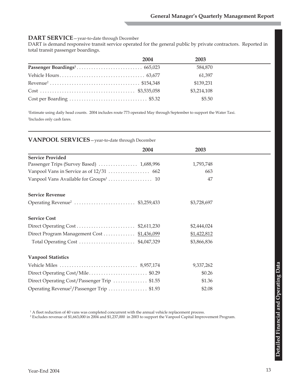#### **DART SERVICE**—year-to-date through December

DART is demand responsive transit service operated for the general public by private contractors. Reported in total transit passenger boardings.

| 2004 | 2003        |
|------|-------------|
|      | 584,870     |
|      | 61,397      |
|      | \$139,231   |
|      | \$3,214,108 |
|      | \$5.50      |

1 Estimate using daily head counts. 2004 includes route 773 operated May through September to support the Water Taxi. 2 Includes only cash fares.

#### **VANPOOL SERVICES**—year-to-date through December

|                                                       | 2004 | 2003        |
|-------------------------------------------------------|------|-------------|
| <b>Service Provided</b>                               |      |             |
|                                                       |      | 1,793,748   |
|                                                       |      | 663         |
|                                                       |      | 47          |
| <b>Service Revenue</b>                                |      |             |
| Operating Revenue <sup>2</sup> \$3,259,433            |      | \$3,728,697 |
| <b>Service Cost</b>                                   |      |             |
|                                                       |      | \$2,444,024 |
| Direct Program Management Cost  \$1,436,099           |      | \$1,422,812 |
|                                                       |      | \$3,866,836 |
| <b>Vanpool Statistics</b>                             |      |             |
|                                                       |      | 9,337,262   |
| Direct Operating Cost/Mile\$0.29                      |      | \$0.26      |
| Direct Operating Cost/Passenger Trip \$1.55           |      | \$1.36      |
| Operating Revenue <sup>2</sup> /Passenger Trip \$1.93 |      | \$2.08      |

<sup>1</sup> A fleet reduction of 40 vans was completed concurrent with the annual vehicle replacement process.

2 Excludes revenue of \$1,663,000 in 2004 and \$1,237,000 in 2003 to support the Vanpool Capital Improvement Program.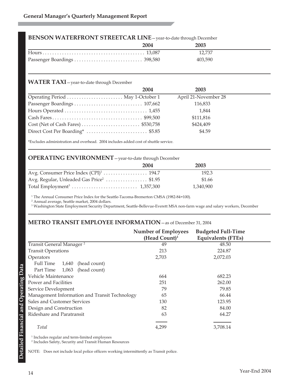#### **BENSON WATERFRONT STREETCAR LINE**—year-to-date through December

| 2004 | 2003    |  |
|------|---------|--|
|      | 12.737  |  |
|      | 403.590 |  |

#### **WATER TAXI**—year-to-date through December

| 2004 | 2003                 |  |
|------|----------------------|--|
|      | April 21-November 28 |  |
|      | 116,833              |  |
|      | 1,844                |  |
|      | \$111,816            |  |
|      | \$424,409            |  |
|      | \$4.59               |  |

\*Excludes administration and overhead. 2004 includes added cost of shuttle service.

#### **OPERATING ENVIRONMENT**—year-to-date through December

|                                                      | 2004 | 2003      |  |
|------------------------------------------------------|------|-----------|--|
|                                                      |      | 192.3     |  |
| Avg. Regular, Unleaded Gas Price <sup>2</sup> \$1.95 |      | \$1.66    |  |
|                                                      |      | 1,340,900 |  |

<sup>1</sup> The Annual Consumer Price Index for the Seattle-Tacoma-Bremerton CMSA (1982-84=100).

<sup>2</sup> Annual average, Seattle market, 2004 dollars.

<sup>3</sup> Washington State Employment Security Department, Seattle-Bellevue-Everett MSA non-farm wage and salary workers, December

#### **METRO TRANSIT EMPLOYEE INFORMATION**—as of December 31, 2004

|                                               | <b>Number of Employees</b><br>(Head Count) $1$ | <b>Budgeted Full-Time</b><br><b>Equivalents (FTEs)</b> |
|-----------------------------------------------|------------------------------------------------|--------------------------------------------------------|
| Transit General Manager <sup>2</sup>          | 49                                             | 48.50                                                  |
| <b>Transit Operations</b>                     | 213                                            | 224.87                                                 |
| Operators                                     | 2,703                                          | 2,072.03                                               |
| Full Time<br>1,640<br>(head count)            |                                                |                                                        |
| (head count)<br>Part Time<br>1,063            |                                                |                                                        |
| Vehicle Maintenance                           | 664                                            | 682.23                                                 |
| Power and Facilities                          | 251                                            | 262.00                                                 |
| Service Development                           | 79                                             | 79.85                                                  |
| Management Information and Transit Technology | 65                                             | 66.44                                                  |
| Sales and Customer Services                   | 130                                            | 123.95                                                 |
| Design and Construction                       | 82                                             | 84.00                                                  |
| Rideshare and Paratransit                     | 63                                             | 64.27                                                  |
| Total                                         | 4,299                                          | 3,708.14                                               |

<sup>1</sup> Includes regular and term-limited employees

<sup>2</sup> Includes Safety, Security and Transit Human Resources

NOTE: Does not include local police officers working intermittently as Transit police.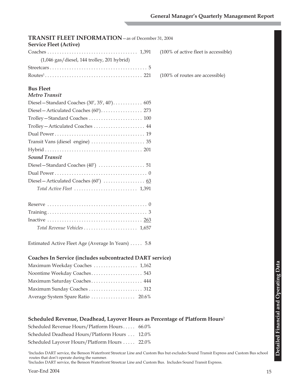| <b>TRANSIT FLEET INFORMATION</b> - as of December 31, 2004                              |
|-----------------------------------------------------------------------------------------|
| <b>Service Fleet (Active)</b>                                                           |
| (100% of active fleet is accessible)                                                    |
| $(1,046$ gas/diesel, 144 trolley, 201 hybrid)                                           |
|                                                                                         |
| (100% of routes are accessible)                                                         |
|                                                                                         |
| <b>Bus Fleet</b>                                                                        |
| <b>Metro Transit</b>                                                                    |
|                                                                                         |
|                                                                                         |
|                                                                                         |
| Trolley-Articulated Coaches  44                                                         |
|                                                                                         |
|                                                                                         |
|                                                                                         |
| <b>Sound Transit</b>                                                                    |
|                                                                                         |
|                                                                                         |
|                                                                                         |
|                                                                                         |
|                                                                                         |
|                                                                                         |
|                                                                                         |
|                                                                                         |
| Total Revenue Vehicles  1,657                                                           |
|                                                                                         |
| Estimated Active Fleet Age (Average In Years)  5.8                                      |
|                                                                                         |
| Coaches In Service (includes subcontracted DART service)                                |
| Maximum Weekday Coaches  1,162                                                          |
|                                                                                         |
| Maximum Saturday Coaches 444                                                            |
|                                                                                         |
| Average System Spare Ratio  20.6%                                                       |
|                                                                                         |
| Scheduled Revenue, Deadhead, Layover Hours as Percentage of Platform Hours <sup>2</sup> |
| Scheduled Revenue Hours/Platform Hours<br>66.0%                                         |
| Scheduled Deadhead Hours/Platform Hours<br>12.0%                                        |
| Scheduled Layover Hours/Platform Hours  22.0%                                           |
|                                                                                         |

1 Includes DART service, the Benson Waterfront Streetcar Line and Custom Bus but excludes Sound Transit Express and Custom Bus school routes that don't operate during the summer. 2 Includes DART service, the Benson Waterfront Streetcar Line and Custom Bus. Includes Sound Transit Express.

**Detailed Financial and Operating Data**

Detailed Financial and Operating Data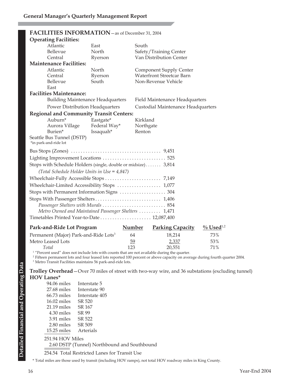|                                                      | FACILITIES INFORMATION - as of December 31, 2004              |              |                                    |  |  |  |
|------------------------------------------------------|---------------------------------------------------------------|--------------|------------------------------------|--|--|--|
|                                                      | <b>Operating Facilities:</b>                                  |              |                                    |  |  |  |
|                                                      | Atlantic                                                      | East         | South                              |  |  |  |
|                                                      | Bellevue                                                      | North        | Safety/Training Center             |  |  |  |
|                                                      | Central                                                       | Ryerson      | Van Distribution Center            |  |  |  |
|                                                      | <b>Maintenance Facilities:</b>                                |              |                                    |  |  |  |
|                                                      | Atlantic                                                      | North        | <b>Component Supply Center</b>     |  |  |  |
|                                                      | Central                                                       | Ryerson      | <b>Waterfront Streetcar Barn</b>   |  |  |  |
|                                                      | Bellevue                                                      | South        | Non-Revenue Vehicle                |  |  |  |
|                                                      | East                                                          |              |                                    |  |  |  |
|                                                      | <b>Facilities Maintenance:</b>                                |              |                                    |  |  |  |
|                                                      | <b>Building Maintenance Headquarters</b>                      |              | Field Maintenance Headquarters     |  |  |  |
|                                                      | Power Distribution Headquarters                               |              | Custodial Maintenance Headquarters |  |  |  |
|                                                      | <b>Regional and Community Transit Centers:</b>                |              |                                    |  |  |  |
|                                                      | Auburn*                                                       | Eastgate*    | Kirkland                           |  |  |  |
|                                                      | Aurora Village                                                | Federal Way* | Northgate                          |  |  |  |
|                                                      | Burien*                                                       | Issaquah*    | Renton                             |  |  |  |
|                                                      | Seattle Bus Tunnel (DSTP)                                     |              |                                    |  |  |  |
|                                                      | *in park-and-ride lot                                         |              |                                    |  |  |  |
|                                                      |                                                               |              |                                    |  |  |  |
|                                                      | Lighting Improvement Locations  525                           |              |                                    |  |  |  |
|                                                      | Stops with Schedule Holders (single, double or midsize) 3,814 |              |                                    |  |  |  |
|                                                      | (Total Schedule Holder Units in Use = 4,847)                  |              |                                    |  |  |  |
|                                                      |                                                               |              |                                    |  |  |  |
|                                                      |                                                               |              |                                    |  |  |  |
| Wheelchair-Limited Accessibility Stops  1,077        |                                                               |              |                                    |  |  |  |
| Stops with Permanent Information Signs  304          |                                                               |              |                                    |  |  |  |
|                                                      |                                                               |              |                                    |  |  |  |
|                                                      | Passenger Shelters with Murals  854                           |              |                                    |  |  |  |
| Metro Owned and Maintained Passenger Shelters  1,471 |                                                               |              |                                    |  |  |  |
| Timetables Printed Year-to-Date  12,087,400          |                                                               |              |                                    |  |  |  |
|                                                      |                                                               |              |                                    |  |  |  |

| Park-and-Ride Lot Program                         | <b>Number</b> | <b>Parking Capacity</b> | $\%$ Used <sup>1,2</sup> |
|---------------------------------------------------|---------------|-------------------------|--------------------------|
| Permanent (Major) Park-and-Ride Lots <sup>3</sup> | 64            | 18.214                  | 73%                      |
| Metro Leased Lots                                 | 59            | 2,337                   | 53%                      |
| Total                                             | 123           | 20.551                  | 71%                      |

<sup>1</sup> "Percent used" does not include lots with counts that are not available during the quarter.

<sup>2</sup> Fifteen permanent lots and four leased lots reported 100 percent or above capacity on average during fourth quarter 2004.

<sup>3</sup> Metro Transit Facilities maintains 56 park-and-ride lots.

**Trolley Overhead**—Over 70 miles of street with two-way wire, and 36 substations (excluding tunnel) **HOV Lanes\***

| 94.06 miles      | Interstate 5                                  |
|------------------|-----------------------------------------------|
| $27.68$ miles    | Interstate 90                                 |
| $66.73$ miles    | Interstate 405                                |
| $16.02$ miles    | SR 520                                        |
| $21.19$ miles    | SR 167                                        |
| 4.30 miles       | SR 99                                         |
| 3.91 miles       | SR 522                                        |
| 2.80 miles       | SR 509                                        |
| $15.25$ miles    | Arterials                                     |
| 251.94 HOV Miles |                                               |
|                  | 2.60 DSTP (Tunnel) Northbound and Southbound  |
|                  | 254.54 Total Restricted Lanes for Transit Use |

\* Total miles are those used by transit (including HOV ramps), not total HOV roadway miles in King County.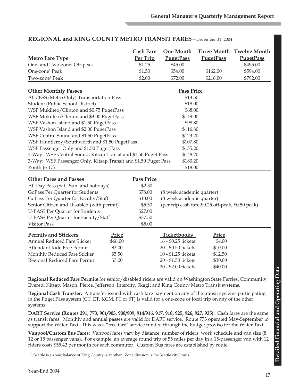|                                                                 |         | <b>Cash Fare</b>  | <b>One Month</b>          |                                                   | <b>Three Month Twelve Month</b> |  |
|-----------------------------------------------------------------|---------|-------------------|---------------------------|---------------------------------------------------|---------------------------------|--|
| <b>Metro Fare Type</b>                                          |         | Per Trip          | <b>PugetPass</b>          | <b>PugetPass</b>                                  | <b>PugetPass</b>                |  |
| One- and Two-zone <sup>1</sup> Off-peak                         |         | \$1.25            | \$45.00                   |                                                   | \$495.00                        |  |
| One-zone <sup>1</sup> Peak                                      |         | \$1.50            | \$54.00                   | \$162.00                                          | \$594.00                        |  |
| Two-zone <sup>1</sup> Peak                                      |         | \$2.00            | \$72.00                   | \$216.00                                          | \$792.00                        |  |
| <b>Other Monthly Passes</b>                                     |         |                   | <b>Pass Price</b>         |                                                   |                                 |  |
| ACCESS (Metro Only) Transportation Pass                         |         |                   | \$13.50                   |                                                   |                                 |  |
| Student (Public School District)                                |         |                   | \$18.00                   |                                                   |                                 |  |
| WSF Mukilteo/Clinton and \$0.75 PugetPass                       |         |                   | \$68.00                   |                                                   |                                 |  |
| WSF Mukilteo/Clinton and \$3.00 PugetPass                       |         |                   | \$149.00                  |                                                   |                                 |  |
| WSF Vashon Island and \$1.50 PugetPass                          |         |                   | \$98.80                   |                                                   |                                 |  |
| WSF Vashon Island and \$2.00 PugetPass                          |         |                   | \$116.80                  |                                                   |                                 |  |
| WSF Central Sound and \$1.50 PugetPass                          |         |                   | \$123.20                  |                                                   |                                 |  |
| WSF Fauntleroy/Southworth and \$1.50 PugetPass                  |         |                   | \$107.80                  |                                                   |                                 |  |
| WSF Passenger Only and \$1.50 Puget Pass                        |         |                   | \$155.20                  |                                                   |                                 |  |
| 3-Way: WSF Central Sound, Kitsap Transit and \$1.50 Puget Pass  |         |                   | \$148.20                  |                                                   |                                 |  |
| 3-Way: WSF Passenger Only, Kitsap Transit and \$1.50 Puget Pass |         |                   | \$180.20                  |                                                   |                                 |  |
| Youth (6-17)                                                    |         |                   | \$18.00                   |                                                   |                                 |  |
| <b>Other Fares and Passes</b>                                   |         | <b>Pass Price</b> |                           |                                                   |                                 |  |
| All Day Pass (Sat., Sun. and holidays)                          |         | \$2.50            |                           |                                                   |                                 |  |
| GoPass Per Quarter for Students                                 |         | \$78.00           | (8 week academic quarter) |                                                   |                                 |  |
| GoPass Per Quarter for Faculty/Staff                            |         | \$10.00           | (8 week academic quarter) |                                                   |                                 |  |
| Senior Citizen and Disabled (with permit)                       |         | \$5.50            |                           | (per trip cash fare-\$0.25 off-peak, \$0.50 peak) |                                 |  |
| <b>U-PASS Per Quarter for Students</b>                          |         | \$27.00           |                           |                                                   |                                 |  |
| U-PASS Per Quarter for Faculty/Staff                            |         | \$37.50           |                           |                                                   |                                 |  |
| <b>Visitor Pass</b>                                             |         | \$5.00            |                           |                                                   |                                 |  |
| <b>Permits and Stickers</b>                                     | Price   |                   | <b>Ticketbooks</b>        | <b>Price</b>                                      |                                 |  |
| Annual Reduced Fare Sticker                                     | \$66.00 |                   | 16 - \$0.25 tickets       | \$4.00                                            |                                 |  |
| Attendant Ride Free Permit                                      | \$3.00  |                   | 20 - \$0.50 tickets       | \$10.00                                           |                                 |  |
| Monthly Reduced Fare Sticker                                    | \$5.50  |                   | 10 - \$1.25 tickets       | \$12.50                                           |                                 |  |
| Regional Reduced Fare Permit                                    | \$3.00  |                   | 20 - \$1.50 tickets       | \$30.00                                           |                                 |  |
|                                                                 |         |                   | 20 - \$2.00 tickets       | \$40.00                                           |                                 |  |
|                                                                 |         |                   |                           |                                                   |                                 |  |

#### **REGIONAL and KING COUNTY METRO TRANSIT FARES**—December 31, 2004

**Regional Reduced Fare Permits** for senior/disabled riders are valid on Washington State Ferries, Community, Everett, Kitsap, Mason, Pierce, Jefferson, Intercity, Skagit and King County Metro Transit systems.

**Regional Cash Transfer:** A transfer issued with cash fare payment on any of the transit systems participating in the Puget Pass system (CT, ET, KCM, PT or ST) is valid for a one-zone or local trip on any of the other systems.

**DART Service (Routes 291, 773, 901/903, 908/909, 914/916, 917, 918, 925, 926, 927, 935)**: Cash fares are the same as transit fares. Monthly and annual passes are valid for DART service. Route 773 operated May-September to support the Water Taxi. This was a "free fare" service funded through the budget proviso for the Water Taxi.

**Vanpool/Custom Bus Fares**: Vanpool fares vary by distance, number of riders, work schedule and van size (8, 12 or 15 passenger vans). For example, an average round trip of 55 miles per day in a 15-passenger van with 12 riders costs \$55.42 per month for each commuter. Custom Bus fares are established by route.

<sup>1</sup> Seattle is a zone; balance of King County is another. Zone division is the Seattle city limits.